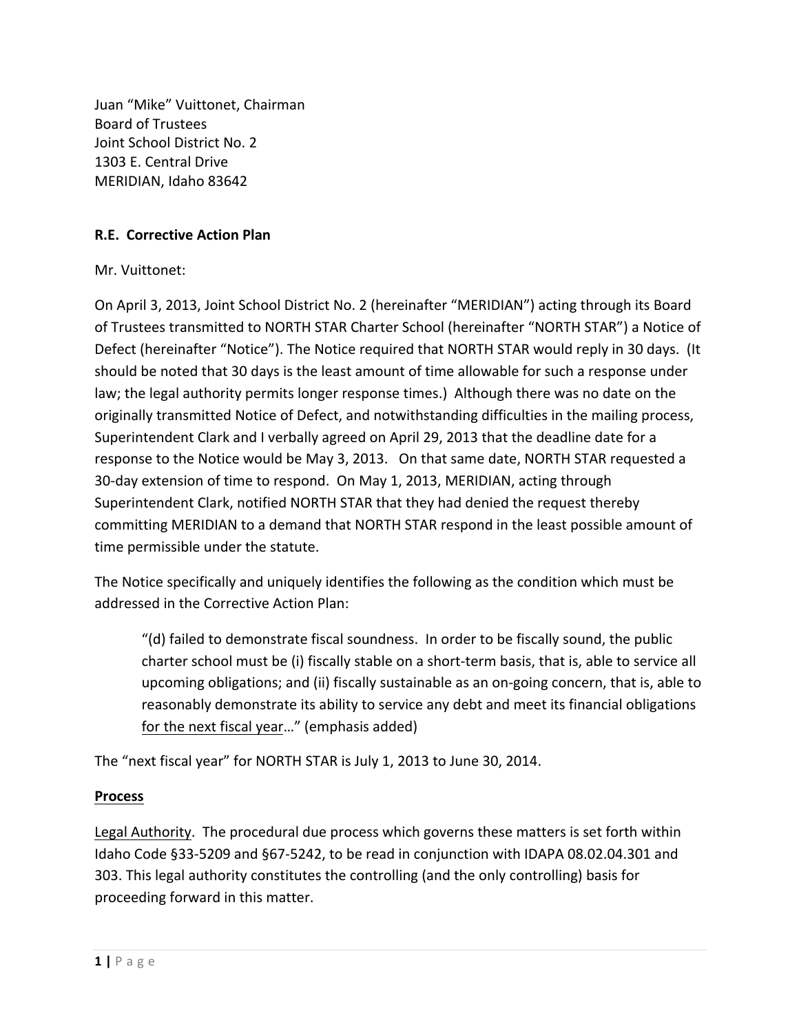Juan "Mike" Vuittonet, Chairman **Board of Trustees** Joint School District No. 2 1303 E. Central Drive MERIDIAN, Idaho 83642

## **R.F. Corrective Action Plan**

Mr. Vuittonet:

On April 3, 2013, Joint School District No. 2 (hereinafter "MERIDIAN") acting through its Board of Trustees transmitted to NORTH STAR Charter School (hereinafter "NORTH STAR") a Notice of Defect (hereinafter "Notice"). The Notice required that NORTH STAR would reply in 30 days. (It should be noted that 30 days is the least amount of time allowable for such a response under law; the legal authority permits longer response times.) Although there was no date on the originally transmitted Notice of Defect, and notwithstanding difficulties in the mailing process, Superintendent Clark and I verbally agreed on April 29, 2013 that the deadline date for a response to the Notice would be May 3, 2013. On that same date, NORTH STAR requested a 30-day extension of time to respond. On May 1, 2013, MERIDIAN, acting through Superintendent Clark, notified NORTH STAR that they had denied the request thereby committing MERIDIAN to a demand that NORTH STAR respond in the least possible amount of time permissible under the statute.

The Notice specifically and uniquely identifies the following as the condition which must be addressed in the Corrective Action Plan:

"(d) failed to demonstrate fiscal soundness. In order to be fiscally sound, the public charter school must be (i) fiscally stable on a short-term basis, that is, able to service all upcoming obligations; and (ii) fiscally sustainable as an on-going concern, that is, able to reasonably demonstrate its ability to service any debt and meet its financial obligations for the next fiscal year..." (emphasis added)

The "next fiscal year" for NORTH STAR is July 1, 2013 to June 30, 2014.

## **Process**

Legal Authority. The procedural due process which governs these matters is set forth within Idaho Code §33-5209 and §67-5242, to be read in conjunction with IDAPA 08.02.04.301 and 303. This legal authority constitutes the controlling (and the only controlling) basis for proceeding forward in this matter.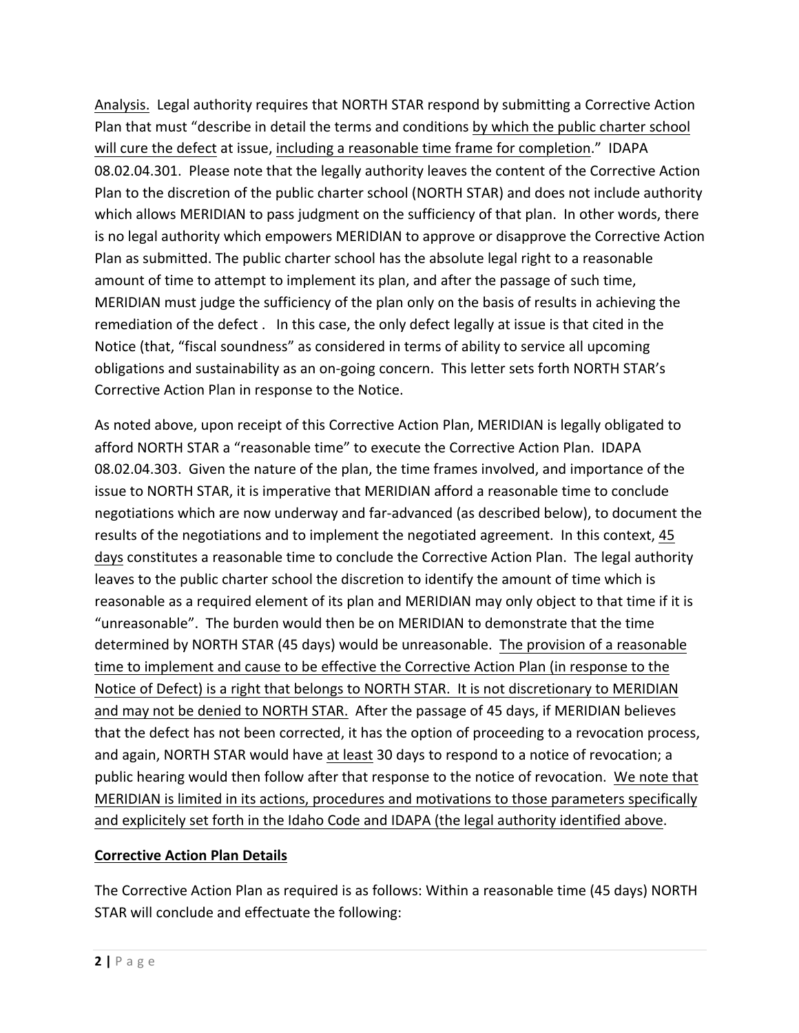Analysis. Legal authority requires that NORTH STAR respond by submitting a Corrective Action Plan that must "describe in detail the terms and conditions by which the public charter school will cure the defect at issue, including a reasonable time frame for completion." IDAPA 08.02.04.301. Please note that the legally authority leaves the content of the Corrective Action Plan to the discretion of the public charter school (NORTH STAR) and does not include authority which allows MERIDIAN to pass judgment on the sufficiency of that plan. In other words, there is no legal authority which empowers MERIDIAN to approve or disapprove the Corrective Action Plan as submitted. The public charter school has the absolute legal right to a reasonable amount of time to attempt to implement its plan, and after the passage of such time, MERIDIAN must judge the sufficiency of the plan only on the basis of results in achieving the remediation of the defect. In this case, the only defect legally at issue is that cited in the Notice (that, "fiscal soundness" as considered in terms of ability to service all upcoming obligations and sustainability as an on-going concern. This letter sets forth NORTH STAR's Corrective Action Plan in response to the Notice.

As noted above, upon receipt of this Corrective Action Plan, MERIDIAN is legally obligated to afford NORTH STAR a "reasonable time" to execute the Corrective Action Plan. IDAPA 08.02.04.303. Given the nature of the plan, the time frames involved, and importance of the issue to NORTH STAR, it is imperative that MERIDIAN afford a reasonable time to conclude negotiations which are now underway and far-advanced (as described below), to document the results of the negotiations and to implement the negotiated agreement. In this context, 45 days constitutes a reasonable time to conclude the Corrective Action Plan. The legal authority leaves to the public charter school the discretion to identify the amount of time which is reasonable as a required element of its plan and MERIDIAN may only object to that time if it is "unreasonable". The burden would then be on MERIDIAN to demonstrate that the time determined by NORTH STAR (45 days) would be unreasonable. The provision of a reasonable time to implement and cause to be effective the Corrective Action Plan (in response to the Notice of Defect) is a right that belongs to NORTH STAR. It is not discretionary to MERIDIAN and may not be denied to NORTH STAR. After the passage of 45 days, if MERIDIAN believes that the defect has not been corrected, it has the option of proceeding to a revocation process, and again, NORTH STAR would have at least 30 days to respond to a notice of revocation; a public hearing would then follow after that response to the notice of revocation. We note that MERIDIAN is limited in its actions, procedures and motivations to those parameters specifically and explicitely set forth in the Idaho Code and IDAPA (the legal authority identified above.

## **Corrective Action Plan Details**

The Corrective Action Plan as required is as follows: Within a reasonable time (45 days) NORTH STAR will conclude and effectuate the following: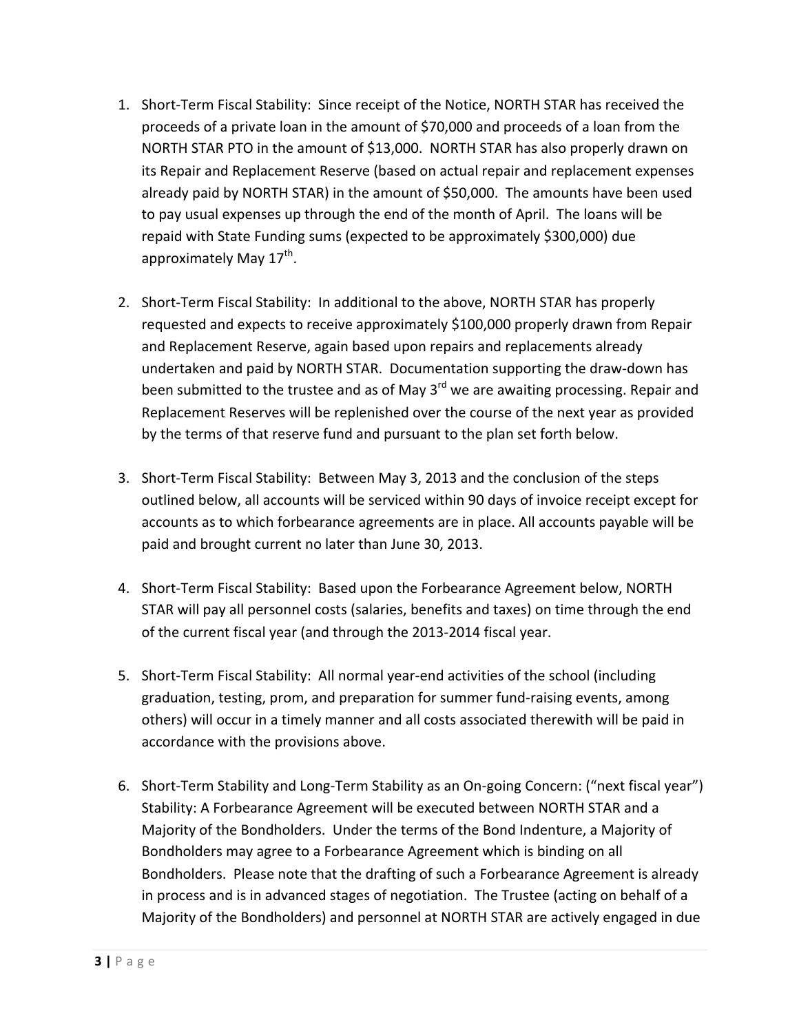- 1. Short-Term Fiscal Stability: Since receipt of the Notice, NORTH STAR has received the proceeds of a private loan in the amount of \$70,000 and proceeds of a loan from the NORTH STAR PTO in the amount of \$13,000. NORTH STAR has also properly drawn on its Repair and Replacement Reserve (based on actual repair and replacement expenses already paid by NORTH STAR) in the amount of \$50,000. The amounts have been used to pay usual expenses up through the end of the month of April. The loans will be repaid with State Funding sums (expected to be approximately \$300,000) due approximately May  $17^{th}$ .
- 2. Short-Term Fiscal Stability: In additional to the above, NORTH STAR has properly requested and expects to receive approximately \$100,000 properly drawn from Repair and Replacement Reserve, again based upon repairs and replacements already undertaken and paid by NORTH STAR. Documentation supporting the draw-down has been submitted to the trustee and as of May  $3<sup>rd</sup>$  we are awaiting processing. Repair and Replacement Reserves will be replenished over the course of the next year as provided by the terms of that reserve fund and pursuant to the plan set forth below.
- 3. Short-Term Fiscal Stability: Between May 3, 2013 and the conclusion of the steps outlined below, all accounts will be serviced within 90 days of invoice receipt except for accounts as to which forbearance agreements are in place. All accounts payable will be paid and brought current no later than June 30, 2013.
- 4. Short-Term Fiscal Stability: Based upon the Forbearance Agreement below, NORTH STAR will pay all personnel costs (salaries, benefits and taxes) on time through the end of the current fiscal year (and through the 2013-2014 fiscal year.
- 5. Short-Term Fiscal Stability: All normal year-end activities of the school (including graduation, testing, prom, and preparation for summer fund-raising events, among others) will occur in a timely manner and all costs associated therewith will be paid in accordance with the provisions above.
- 6. Short-Term Stability and Long-Term Stability as an On-going Concern: ("next fiscal year") Stability: A Forbearance Agreement will be executed between NORTH STAR and a Majority of the Bondholders. Under the terms of the Bond Indenture, a Majority of Bondholders may agree to a Forbearance Agreement which is binding on all Bondholders. Please note that the drafting of such a Forbearance Agreement is already in process and is in advanced stages of negotiation. The Trustee (acting on behalf of a Majority of the Bondholders) and personnel at NORTH STAR are actively engaged in due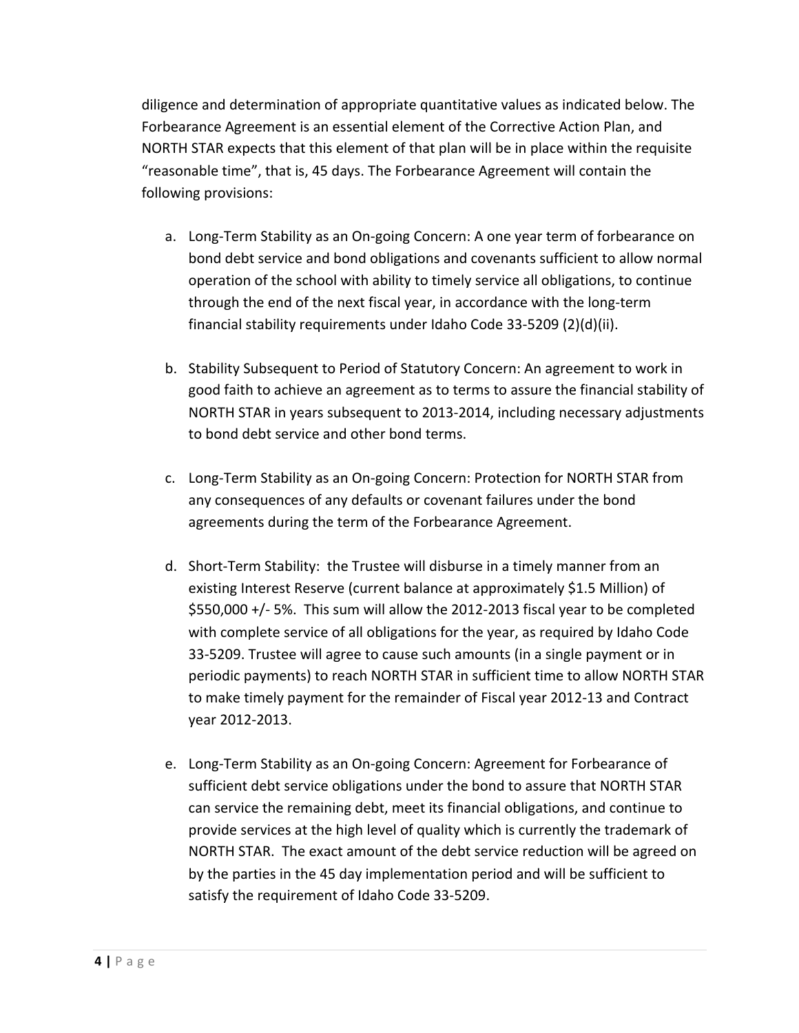diligence and determination of appropriate quantitative values as indicated below. The Forbearance Agreement is an essential element of the Corrective Action Plan, and NORTH STAR expects that this element of that plan will be in place within the requisite "reasonable time", that is, 45 days. The Forbearance Agreement will contain the following provisions:

- a. Long-Term Stability as an On-going Concern: A one year term of forbearance on bond debt service and bond obligations and covenants sufficient to allow normal operation of the school with ability to timely service all obligations, to continue through the end of the next fiscal year, in accordance with the long-term financial stability requirements under Idaho Code 33-5209 (2)(d)(ii).
- b. Stability Subsequent to Period of Statutory Concern: An agreement to work in good faith to achieve an agreement as to terms to assure the financial stability of NORTH STAR in years subsequent to 2013-2014, including necessary adjustments to bond debt service and other bond terms.
- c. Long-Term Stability as an On-going Concern: Protection for NORTH STAR from any consequences of any defaults or covenant failures under the bond agreements during the term of the Forbearance Agreement.
- d. Short-Term Stability: the Trustee will disburse in a timely manner from an existing Interest Reserve (current balance at approximately \$1.5 Million) of  $$550,000$  +/- 5%. This sum will allow the 2012-2013 fiscal year to be completed with complete service of all obligations for the year, as required by Idaho Code 33-5209. Trustee will agree to cause such amounts (in a single payment or in periodic payments) to reach NORTH STAR in sufficient time to allow NORTH STAR to make timely payment for the remainder of Fiscal year 2012-13 and Contract year 2012-2013.
- e. Long-Term Stability as an On-going Concern: Agreement for Forbearance of sufficient debt service obligations under the bond to assure that NORTH STAR can service the remaining debt, meet its financial obligations, and continue to provide services at the high level of quality which is currently the trademark of NORTH STAR. The exact amount of the debt service reduction will be agreed on by the parties in the 45 day implementation period and will be sufficient to satisfy the requirement of Idaho Code 33-5209.